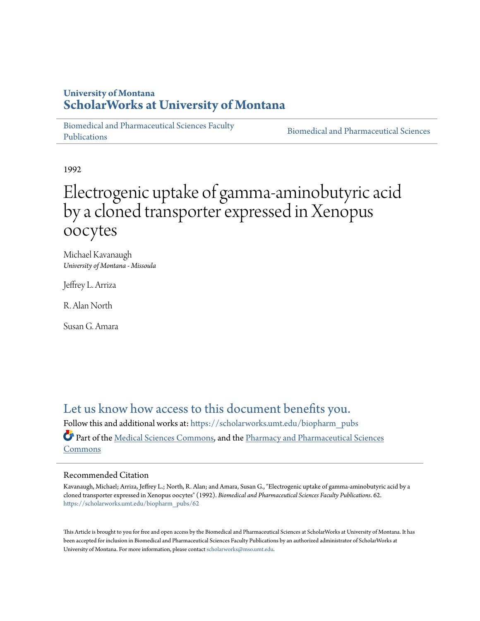# **University of Montana [ScholarWorks at University of Montana](https://scholarworks.umt.edu/?utm_source=scholarworks.umt.edu%2Fbiopharm_pubs%2F62&utm_medium=PDF&utm_campaign=PDFCoverPages)**

[Biomedical and Pharmaceutical Sciences Faculty](https://scholarworks.umt.edu/biopharm_pubs?utm_source=scholarworks.umt.edu%2Fbiopharm_pubs%2F62&utm_medium=PDF&utm_campaign=PDFCoverPages) [Publications](https://scholarworks.umt.edu/biopharm_pubs?utm_source=scholarworks.umt.edu%2Fbiopharm_pubs%2F62&utm_medium=PDF&utm_campaign=PDFCoverPages)

[Biomedical and Pharmaceutical Sciences](https://scholarworks.umt.edu/biopharm?utm_source=scholarworks.umt.edu%2Fbiopharm_pubs%2F62&utm_medium=PDF&utm_campaign=PDFCoverPages)

1992

# Electrogenic uptake of gamma-aminobutyric acid by a cloned transporter expressed in Xenopus oocytes

Michael Kavanaugh *University of Montana - Missoula*

Jeffrey L. Arriza

R. Alan North

Susan G. Amara

[Let us know how access to this document benefits you.](https://goo.gl/forms/s2rGfXOLzz71qgsB2) Follow this and additional works at: [https://scholarworks.umt.edu/biopharm\\_pubs](https://scholarworks.umt.edu/biopharm_pubs?utm_source=scholarworks.umt.edu%2Fbiopharm_pubs%2F62&utm_medium=PDF&utm_campaign=PDFCoverPages) Part of the [Medical Sciences Commons,](http://network.bepress.com/hgg/discipline/664?utm_source=scholarworks.umt.edu%2Fbiopharm_pubs%2F62&utm_medium=PDF&utm_campaign=PDFCoverPages) and the [Pharmacy and Pharmaceutical Sciences](http://network.bepress.com/hgg/discipline/731?utm_source=scholarworks.umt.edu%2Fbiopharm_pubs%2F62&utm_medium=PDF&utm_campaign=PDFCoverPages) [Commons](http://network.bepress.com/hgg/discipline/731?utm_source=scholarworks.umt.edu%2Fbiopharm_pubs%2F62&utm_medium=PDF&utm_campaign=PDFCoverPages)

## Recommended Citation

Kavanaugh, Michael; Arriza, Jeffrey L.; North, R. Alan; and Amara, Susan G., "Electrogenic uptake of gamma-aminobutyric acid by a cloned transporter expressed in Xenopus oocytes" (1992). *Biomedical and Pharmaceutical Sciences Faculty Publications*. 62. [https://scholarworks.umt.edu/biopharm\\_pubs/62](https://scholarworks.umt.edu/biopharm_pubs/62?utm_source=scholarworks.umt.edu%2Fbiopharm_pubs%2F62&utm_medium=PDF&utm_campaign=PDFCoverPages)

This Article is brought to you for free and open access by the Biomedical and Pharmaceutical Sciences at ScholarWorks at University of Montana. It has been accepted for inclusion in Biomedical and Pharmaceutical Sciences Faculty Publications by an authorized administrator of ScholarWorks at University of Montana. For more information, please contact [scholarworks@mso.umt.edu.](mailto:scholarworks@mso.umt.edu)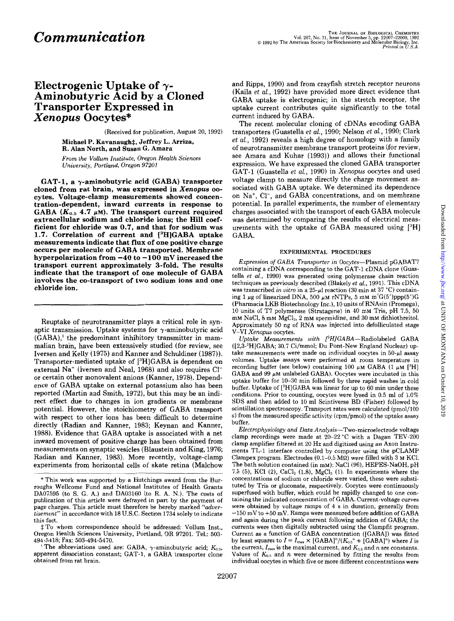# **Electrogenic Uptake of** y-**Aminobutyric Acid by a Cloned Transporter Expressed in**  *Xenopus* **Oocytes\***

(Received for publication, August 20,1992)

**Michael P. Kavanaught, Jeffrey L. Arriza, R. Alan North, and Susan** *G.* **Amara** 

*From* the *Vollum* Institute, Oregon Health Sciences Uniuersity, Portland, Oregon **97201** 

**GAT-1, a y-aminobutyric acid (GABA) transporter cloned from rat brain, was expressed in** *Xenopus oo***cytes. Voltage-clamp measurements showed concentration-dependent, inward currents in response to**  GABA  $(K_{0.5}$  4.7  $\mu$ M). The transport current required **extracellular sodium and chloride ions; the Hill coefficient for chloride was 0.7, and that for sodium was 1.7. Correlation of current and [3H]GABA uptake measurements indicate that flux of one positive charge occurs per molecule of GABA transported. Membrane hyperpolarization from -40 to -100 mV increased the**  transport current approximately 3-fold. The results **indicate that the transport of one molecule of GABA involves the co-transport of two sodium ions and one chloride ion.** 

Reuptake of neurotransmitter plays a critical role in synaptic transmission. Uptake systems for  $\gamma$ -aminobutyric acid  $(GABA)$ , the predominant inhibitory transmitter in mammalian brain, have been extensively studied (for review, see Iversen and Kelly (1975) and Kanner and Schuldiner (1987)). Transporter-mediated uptake of [3H]GABA is dependent on external Na' (Iversen and Neal, 1968) and also requires C1 or certain other monovalent anions (Kanner, 1978). Dependence of GABA uptake on external potassium also has been reported (Martin and Smith, 1972), but this may be an indirect effect due to changes in ion gradients or membrane potential. However, the stoichiometry of GABA transport with respect to other ions has been difficult to determine directly (Radian and Kanner, 1983; Keynan and Kanner, 1988). Evidence that GABA uptake is associated with a net inward movement of positive charge has been obtained from measurements on synaptic vesicles (Blaustein and King, 1976; Radian and Kanner, 1983). More recently, voltage-clamp experiments from horizontal cells of skate retina (Malchow

 $#To$  whom correspondence should be addressed: Vollum Inst., Oregon Health Sciences University, Portland, OR 97201. Tel.: 503-494-5418; Fax: 503-494-5470.

apparent dissociation constant; GAT-1, a GABA transporter clone obtained from rat brain. <sup>1</sup> The abbreviations used are: GABA,  $\gamma$ -aminobutyric acid;  $K_{0.5}$ , and Ripps, 1990) and from crayfish stretch receptor neurons (Kaila *et al.,* 1992) have provided more direct evidence that GABA uptake is electrogenic; in the stretch receptor, the uptake current contributes quite significantly to the total current induced by GABA.

The recent molecular cloning of cDNAs encoding GABA transporters (Guastella *et al.,* 1990; Nelson *et al.,* 1990; Clark *et al.,* 1992) reveals a high degree of homology with a family of neurotransmitter membrane transport proteins (for review, see Amara and Kuhar (1993)) and allows their functional expression. We have expressed the cloned GABA transporter GAT-1 (Guastella *et al.,* 1990) in *Xenopus* oocytes and used voltage clamp to measure directly the charge movement associated with GABA uptake. We determined its dependence on Na+, C1-, and GABA concentrations, and on membrane potential. In parallel experiments, the number of elementary charges associated with the transport of each GABA molecule was determined by comparing the results of electrical measurements with the uptake of GABA measured using **[3H]**  GABA.

#### **EXPERIMENTAL PROCEDURES**

Expression *of* GABA Transporter in Oocytes-Plasmid pGABAT7 containing a cDNA corresponding to the GAT-1 cDNA clone (Guastella et *aL,* 1990) was generated using polymerase chain reaction techniques as previously described (Blakely et *al.,* 1991). This cDNA was transcribed in vitro in a 25- $\mu$ l reaction (30 min at 37 °C) containing 1  $\mu$ g of linearized DNA, 500  $\mu$ M rNTPs, 5 mM m<sup>7</sup>G(5')ppp(5')G (Pharmacia LKB Biotechnology Inc.), 10 units of RNAsin (Promega), 10 units of T7 polymerase (Stratagene) in 40 mM Tris, pH 7.5, 50 mM NaCl, 8 mM MgCl<sub>2</sub>, 2 mM spermidine, and 30 mM dithiothreitol. Approximately 50 ng of RNA was injected into defolliculated stage V-VI Xenopus oocytes.

Uptake Measurements with  $[^3H]GABA-{\rm Radiolabeled}$  GABA ([2,3-3H]GABA; 30.7 Ci/mmol; Du Pont-New England Nuclear) uptake measurements were made on individual oocytes in  $50-<sub>u</sub>l$  assay volumes. Uptake assays were performed at room temperature in recording buffer (see below) containing 100  $\mu$ M GABA (1  $\mu$ M [<sup>3</sup>H] GABA and 99  $\mu$ M unlabeled GABA). Oocytes were incubated in this uptake buffer for 10-30 min followed by three rapid washes in cold buffer. Uptake of  $[{}^{3}H]GABA$  was linear for up to 60 min under these conditions. Prior to counting, oocytes were lysed in 0.5 ml of 1.0% SDS and then added to 10 ml Scintiverse BD (Fisher) followed by scintillation spectroscopy. Transport rates were calculated (pmo1/100 *s)* from the measured specific activity (cpm/pmol) of the uptake assay buffer.

Electrophysiology and Data Analysis-Two-microelectrode voltage clamp recordings were made at 20-22 "C with a Dagan TEV-200 clamp amplifier filtered at 20 Hz and digitized using an Axon Instruments TL-1 interface controlled by computer using the pCLAMP Clampex program. Electrodes  $(0.1-0.5 \text{ M}\Omega)$  were filled with 3 M KCl. The bath solution contained (in mM): NaCl(96), HEPES-NaOH, pH 7.5 (5), KCl (2), CaCl<sub>2</sub> (1.8), MgCl<sub>2</sub> (1). In experiments where the concentrations of sodium **or** chloride were varied, these were substituted by Tris **or** gluconate, respectively. Oocytes were continuously superfused with buffer, which could be rapidly changed to one containing the indicated concentration of GABA. Current-voltage curves were obtained by voltage ramps of 4 s in duration, generally from  $-150$  mV to  $+50$  mV. Ramps were measured before addition of GABA and again during the peak current following addition of GABA; the currents were then digitally subtracted using the Clampfit program. Current as a function of GABA concentration ([GABA]) was fitted by least squares to  $I = I_{\text{max}} \times [GABA]^n / (K_{0.5}^n + [GABA]^n)$  where *I* is the current,  $I_{\text{max}}$  is the maximal current, and  $K_{0.5}$  and n are constants. Values of  $K_{0.5}$  and n were determined by fitting the results from individual oocytes in which five or more different concentrations were

<sup>\*</sup> This work was supported by a Hutchings award from the Burroughs Wellcome Fund and National Institutes of Health Grants DA07595 (to S. G. A.) and DA03160 (to R. A. N.). The costs of publication of this article were defrayed in part by the payment of page charges. This article must therefore be hereby marked "aduertisement" in accordance with 18 U.S.C. Section 1734 solely to indicate this fact.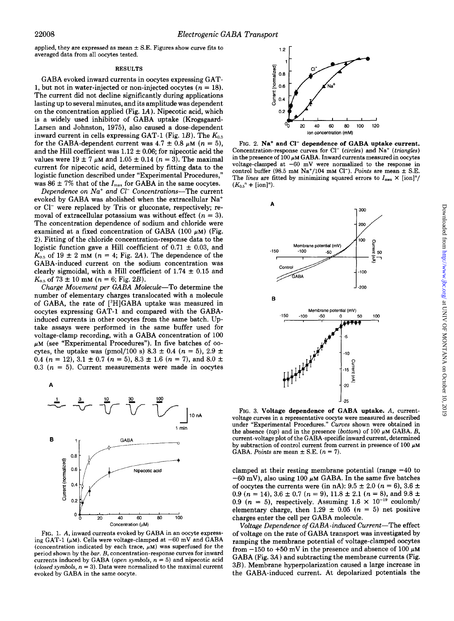applied, they are expressed as mean  $\pm$  S.E. Figures show curve fits to averaged data from all oocytes tested.

### **RESULTS**

GABA evoked inward currents in oocytes expressing GAT-1, but not in water-injected or non-injected oocytes  $(n = 18)$ . The current did not decline significantly during applications lasting up to several minutes, and its amplitude was dependent on the concentration applied (Fig. **hi).** Nipecotic acid, which is a widely used inhibitor of GABA uptake (Krogsgaard-Larsen and Johnston, 1975), also caused a dose-dependent inward current in cells expressing GAT-1 (Fig. 1B). The  $K_{0.5}$ for the GABA-dependent current was  $4.7 \pm 0.8 \mu M$  ( $n = 5$ ), and the Hill coefficient was  $1.12 \pm 0.06$ ; for nipecotic acid the values were  $19 \pm 7 \mu$ M and  $1.05 \pm 0.14$  (n = 3). The maximal current for nipecotic acid, determined by fitting data to the logistic function described under "Experimental Procedures," was  $86 \pm 7\%$  that of the  $I_{\text{max}}$  for GABA in the same oocytes.

Dependence on  $Na^+$  and  $Cl^-$  Concentrations-The current evoked by GABA was abolished when the extracellular Na+ or C1- were replaced by Tris or gluconate, respectively; removal of extracellular potassium was without effect  $(n = 3)$ . The concentration dependence of sodium and chloride were examined at a fixed concentration of GABA  $(100 \mu)$  (Fig. 2). Fitting of the chloride concentration-response data to the logistic function gave a Hill coefficient of  $0.71 \pm 0.03$ , and  $K_{0.5}$  of 19  $\pm$  2 mM (n = 4; Fig. 2A). The dependence of the GABA-induced current on the sodium concentration was clearly sigmoidal, with a Hill coefficient of  $1.74 \pm 0.15$  and  $K_{0.5}$  of 73  $\pm$  10 mM (n = 6; Fig. 2B).

Charge Movement per GABA Molecule-To determine the number of elementary charges translocated with a molecule of GABA, the rate of [3H]GABA uptake was measured in oocytes expressing GAT-1 and compared with the GABAinduced currents in other oocytes from the same batch. Uptake assays were performed in the same buffer used for voltage-clamp recording, with a GABA concentration of 100  $\mu$ <sub>M</sub> (see "Experimental Procedures"). In five batches of oocytes, the uptake was (pmol/100 s)  $8.3 \pm 0.4$  ( $n = 5$ ),  $2.9 \pm 1$ 0.4 ( $n = 12$ ), 3.1  $\pm$  0.7 ( $n = 5$ ), 8.3  $\pm$  1.6 ( $n = 7$ ), and 8.0  $\pm$ 0.3  $(n = 5)$ . Current measurements were made in oocytes



FIG. 1. **A,** inward currents evoked by GABA in an oocyte expressing GAT-1 ( $\mu$ M). Cells were voltage-clamped at  $-60$  mV and GABA (concentration indicated by each trace,  $\mu$ M) was superfused for the period shown by the bar. *B*, concentration-response curves for inward currents induced by GABA (open symbols,  $n = 5$ ) and nipecotic acid evoked by GABA in the same oocyte. (closed symbols,  $n = 3$ ). Data were normalized to the maximal current



FIG. **2.** Na+ and **C1-** dependence **of GABA** uptake current. Concentration-response curves for  $Cl^-$  (circles) and Na<sup>+</sup> (triangles) in the presence of  $100 \mu$ M GABA. Inward currents measured in oocytes voltage-clamped at **-60** mV were normalized to the response in control buffer  $(98.5 \text{ mM Na}^+/104 \text{ mM Cl}^-)$ . Points are mean  $\pm$  S.E. The *lines* are fitted by minimizing squared errors to  $I_{\text{max}} \times \frac{[ \text{ion} ]^n}{ }$  $(K_{0.5}^n + [\text{ion}]^n).$ 



FIG. **3.** Voltage dependence **of GABA** uptake. **A,** currentvoltage curves in a representative oocyte were measured as described under "Experimental Procedures." Curves shown were obtained in the absence (top) and in the presence (bottom) of 100  $\mu$ M GABA. *B*, current-voltage plot of the GABA-specific inward current, determined by subtraction of control current from current in presence of  $100 \mu M$ GABA. Points are mean  $\pm$  S.E.  $(n = 7)$ .

clamped at their resting membrane potential (range  $-40$  to  $-60$  mV), also using 100  $\mu$ M GABA. In the same five batches of oocytes the currents were (in nA):  $9.5 \pm 2.0$  ( $n = 6$ ),  $3.6 \pm 1.0$ 0.9 ( $n = 14$ ), 3.6  $\pm$  0.7 ( $n = 9$ ), 11.8  $\pm$  2.1 ( $n = 8$ ), and 9.8  $\pm$ 0.9 ( $n = 5$ ), respectively. Assuming  $1.6 \times 10^{-19}$  coulomb/ elementary charge, then  $1.29 \pm 0.05$  ( $n = 5$ ) net positive charges enter the cell per GABA molecule.

Voltage Dependence *of* GABA-induced Current-The effect of voltage on the rate of GABA transport was investigated by ramping the membrane potential of voltage-clamped oocytes from  $-150$  to  $+50$  mV in the presence and absence of 100  $\mu$ M GABA (Fig. 3A) and subtracting the membrane currents (Fig. 3B). Membrane hyperpolarization caused a large increase in the GABA-induced current. At depolarized potentials the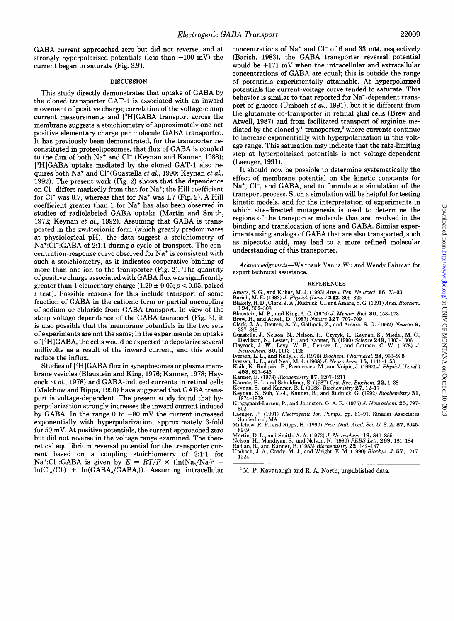GABA current approached zero but did not reverse, and at strongly hyperpolarized potentials (less than  $-100$  mV) the current began to saturate (Fig. 3B).

#### **DISCUSSION**

This study directly demonstrates that uptake of GABA by the cloned transporter GAT-1 is associated with an inward movement of positive charge; correlation of the voltage-clamp current measurements and ['HIGABA transport across the membrane suggests a stoichiometry of approximately one net positive elementary charge per molecule GABA transported. It has previously been demonstrated, for the transporter reconstituted in proteoliposomes, that flux of GABA is coupled to the flux of both Na<sup>+</sup> and Cl<sup>-</sup> (Keynan and Kanner, 1988);  $[^3H]GABA$  uptake mediated by the cloned GAT-1 also requires both Na' and C1-(Guastella *et al.,* 1990; Keynan *et al.,*  1992). The present work (Fig. 2) shows that the dependence on C1- differs markedly from that for Na'; the Hill coefficient for  $Cl^-$  was 0.7, whereas that for  $Na^+$  was 1.7 (Fig. 2). A Hill coefficient greater than 1 for Na' has also been observed in studies of radiolabeled GABA uptake (Martin and Smith, 1972; Keynan *et al.,* 1992). Assuming that GABA is transported in the zwitterionic form (which greatly predominates at physiological pH), the data suggest a stoichiometry of Na<sup>+</sup>:Cl<sup>-</sup>:GABA of 2:1:1 during a cycle of transport. The concentration-response curve observed for Na' is consistent with such a stoichiometry, as it indicates cooperative binding of more than one ion to the transporter (Fig. 2). The quantity of positive charge associated with GABA flux was significantly greater than 1 elementary charge  $(1.29 \pm 0.05; p < 0.05$ , paired *t* test). Possible reasons for this include transport of some fraction of GABA in the cationic form or partial uncoupling of sodium or chloride from GABA transport. In view of the steep voltage dependence of the GABA transport (Fig. 3), it is also possible that the membrane potentials in the two sets of experiments are not the same; in the experiments on uptake of ['HHJGABA, the cells would be expected to depolarize several millivolts as a result of the inward current, and this would reduce the influx.

Studies of [<sup>3</sup>H]GABA flux in synaptosomes or plasma membrane vesicles (Blaustein and King, 1976; Kanner, 1978; Haycock *et al.,* 1978) and GABA-induced currents in retinal cells (Malchow and Ripps, 1990) have suggested that GABA transport is voltage-dependent. The present study found that hyperpolarization strongly increases the inward current induced by GABA. In the range *0* to -80 mV the current increased exponentially with hyperpolarization, approximately 3-fold for 50 mV. At positive potentials, the current approached zero but did not reverse in the voltage range examined. The theoretical equilibrium reversal potential for the transporter current based on a coupling stoichiometry of 2:1:1 for Na<sup>+</sup>:Cl<sup>-</sup>:GABA is given by  $E = RT/F \times (\ln(Na_0/Na_i)^2 +$  $ln(Cl_0/Cl_i)$  +  $ln(GABA_0/GABA_i)$ ). Assuming intracellular concentrations of  $Na^+$  and  $Cl^-$  of 6 and 33 mM, respectively (Barish, 1983), the GABA transporter reversal potential would be +171 mV when the intracellular and extracellular concentrations of GABA are equal; this is outside the range of potentials experimentally attainable. At hyperpolarized potentials the current-voltage curve tended to saturate. This behavior is similar to that reported for Na<sup>+</sup>-dependent transport of glucose (Umbach *et al.,* 1991), but it is different from the glutamate co-transporter in retinal glial cells (Brew and Atwell, 1987) and from facilitated transport of arginine mediated by the cloned  $y^*$  transporter,<sup>2</sup> where currents continue to increase exponentially with hyperpolarization in this voltage range. This saturation may indicate that the rate-limiting step at hyperpolarized potentials is not voltage-dependent (Laeuger, 1991).

It should now be possible to determine systematically the effect of membrane potential on the kinetic constants for Na<sup>+</sup>, Cl<sup>-</sup>, and GABA, and to formulate a simulation of the transport process. Such a simulation will be helpful for testing kinetic models, and for the interpretation of experiments in which site-directed mutagenesis is used to determine the regions of the transporter molecule that are involved in the binding and translocation of ions and GABA. Similar experiments using analogs of GABA that are also transported, such as nipecotic acid, may lead to a more refined molecular understanding of this transporter.

**Acknowledgments-We thank Yanna Wu and Wendy Fairman for expert technical assistance.** 

#### **REFERENCES**

- **Amara,** S. **G., and Kuhar, M.** J. **(1993)** *Annu. Reu. Neurosci.* **16.73-93**
- **Barish, M. E. (1983)** *J. Physiol. (Land.)* **342, 309-325 Blakely, R. D., Clark, J. A., Rudnick, G., and Amara,** S. **G. (1991)** *Anal. Biochem.*  **194,302-308**
- 
- 
- Blaustein, M. P., and King, A. C. (1976) J. Membr. Biol. **30,** 153–173<br>Brew, H., and Atwell, D. (1987) *Nature* **327**, 707–709<br>Clark, J. A., Deutch, A. Y., Gallipoli, Z., and Amara, S. G. (1992) *Neuron* 9,<br>337–348
- **Guastella, J., Nelson, N., Nelson,** H., **Czyzyk, L., Keynan,** S., **Miedel, M. C., Haycock,** J. **W., Levy, W. B., Denner, L., and Cotman, C. W. (1978)** *J.*  **Davidson, N., Lester,** H., **and Kanner, B. (1990)** *Science* **249, 1303-1306**  *Neurochem.* **30, 1113-1125**
- 
- Iversen, L. L., and Kelly, J. S. (1975) *Biochem. Pharmacol.* **24,** 933–938<br>Iversen, L. L., and Neal, M. J. (1968) *J. Neurochem.* 15, 1141–1153<br>Kaila, K., Rudqvist, B., Pasternack, M., and Voipio, J. (1992) *J. Physiol. (*
- **453,627-646**
- 
- Kanner, B. (1978) *Biochemistry* **17,** 1207–1211<br>Kanner, B. I., and Schuldiner, S. (1987) *Crit. Rev. Biochem*. **22,** 1–38<br>Keynan, S., and Kanner, B. I. (1988) *Biochemistry* **27,** 12–17<br>Keynan, S., Suh, Y.-J., Kanner, B.,
- 
- **Krogsgaard-Larsen, P., and Johnston,** G. **A. R. (1975)** *J. Neurochem.* **25, 797- 802 Laeuger,** P. **(1991)** *Electrogenic Ion Pumps,* **pp. 61-91, Sinauer Associates,**
- **Malchow, R. P., and Ripps,** H. **(1990)** *Proc. Natl. Acad. Sci. U.* S. *A.* **87,8945- Sunderland, MA**
- **8949**
- **Martin, D.** L., **and Smith, A. A. (1972)** *J. Neurochem.* **19,841-855 Nelson,** H., **Mandiyan,** S., **and Nelson, N. (1990)** *FEBS Lett.* **269, 181-184**
- 
- **Umbach,** J. **A,, Coady,** M. **J., and Wright,** E. **M. (1990)** *Biophys. J.* **57, 1217- Radian, R., and Kanner, B. (1983)** *Biochemistry* **22, 142-147 1224**

M. **P. Kavanaugh and R. A. North, unpublished data.**